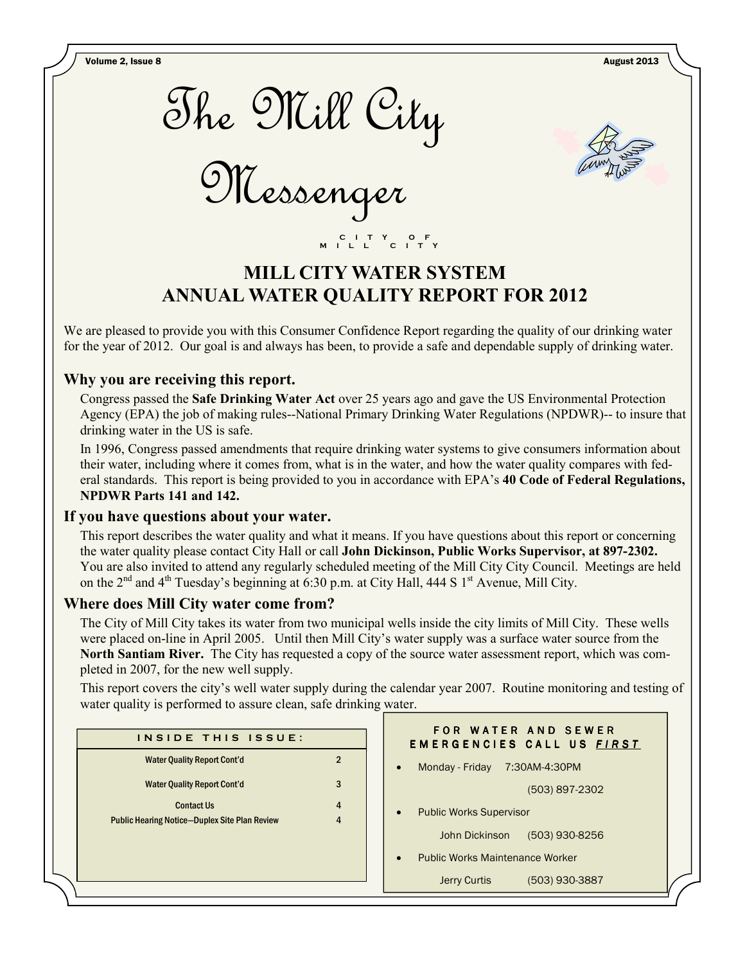Volume 2, Issue 8 August 2013



Messenger



# MILL CITY WATER SYSTEM ANNUAL WATER QUALITY REPORT FOR 2012

C I T Y O F M I L L C I T Y

We are pleased to provide you with this Consumer Confidence Report regarding the quality of our drinking water for the year of 2012. Our goal is and always has been, to provide a safe and dependable supply of drinking water.

## Why you are receiving this report.

Congress passed the Safe Drinking Water Act over 25 years ago and gave the US Environmental Protection Agency (EPA) the job of making rules--National Primary Drinking Water Regulations (NPDWR)-- to insure that drinking water in the US is safe.

In 1996, Congress passed amendments that require drinking water systems to give consumers information about their water, including where it comes from, what is in the water, and how the water quality compares with federal standards. This report is being provided to you in accordance with EPA's 40 Code of Federal Regulations, NPDWR Parts 141 and 142.

## If you have questions about your water.

This report describes the water quality and what it means. If you have questions about this report or concerning the water quality please contact City Hall or call John Dickinson, Public Works Supervisor, at 897-2302. You are also invited to attend any regularly scheduled meeting of the Mill City City Council. Meetings are held on the  $2<sup>nd</sup>$  and  $4<sup>th</sup>$  Tuesday's beginning at 6:30 p.m. at City Hall, 444 S 1<sup>st</sup> Avenue, Mill City.

# Where does Mill City water come from?

The City of Mill City takes its water from two municipal wells inside the city limits of Mill City. These wells were placed on-line in April 2005. Until then Mill City's water supply was a surface water source from the North Santiam River. The City has requested a copy of the source water assessment report, which was completed in 2007, for the new well supply.

This report covers the city's well water supply during the calendar year 2007. Routine monitoring and testing of water quality is performed to assure clean, safe drinking water.

| INSIDE THIS ISSUE:                                                        |                                  | FOR WATER AND SEWER<br><b>EMERGENCIES CALL US FIRST</b> |
|---------------------------------------------------------------------------|----------------------------------|---------------------------------------------------------|
| <b>Water Quality Report Cont'd</b>                                        | $\overline{2}$                   | Monday - Friday 7:30AM-4:30PM<br>$\bullet$              |
| <b>Water Quality Report Cont'd</b>                                        | 3                                | (503) 897-2302                                          |
| <b>Contact Us</b><br><b>Public Hearing Notice-Duplex Site Plan Review</b> | $\overline{4}$<br>$\overline{4}$ | <b>Public Works Supervisor</b><br>$\bullet$             |
|                                                                           |                                  | (503) 930-8256<br>John Dickinson                        |
|                                                                           |                                  | <b>Public Works Maintenance Worker</b><br>$\bullet$     |
|                                                                           |                                  | <b>Jerry Curtis</b><br>(503) 930-3887                   |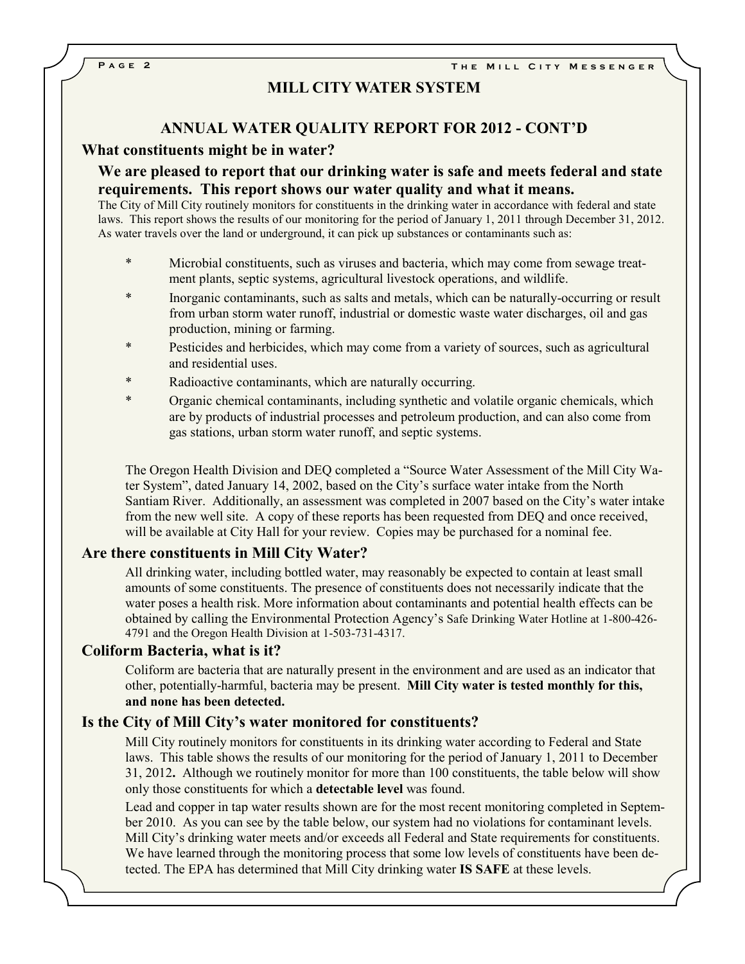### MILL CITY WATER SYSTEM

## ANNUAL WATER QUALITY REPORT FOR 2012 - CONT'D

#### What constituents might be in water?

### We are pleased to report that our drinking water is safe and meets federal and state requirements. This report shows our water quality and what it means.

The City of Mill City routinely monitors for constituents in the drinking water in accordance with federal and state laws. This report shows the results of our monitoring for the period of January 1, 2011 through December 31, 2012. As water travels over the land or underground, it can pick up substances or contaminants such as:

- Microbial constituents, such as viruses and bacteria, which may come from sewage treatment plants, septic systems, agricultural livestock operations, and wildlife.
- Inorganic contaminants, such as salts and metals, which can be naturally-occurring or result from urban storm water runoff, industrial or domestic waste water discharges, oil and gas production, mining or farming.
- \* Pesticides and herbicides, which may come from a variety of sources, such as agricultural and residential uses.
- \* Radioactive contaminants, which are naturally occurring.
- \* Organic chemical contaminants, including synthetic and volatile organic chemicals, which are by products of industrial processes and petroleum production, and can also come from gas stations, urban storm water runoff, and septic systems.

The Oregon Health Division and DEQ completed a "Source Water Assessment of the Mill City Water System", dated January 14, 2002, based on the City's surface water intake from the North Santiam River. Additionally, an assessment was completed in 2007 based on the City's water intake from the new well site. A copy of these reports has been requested from DEQ and once received, will be available at City Hall for your review. Copies may be purchased for a nominal fee.

#### Are there constituents in Mill City Water?

All drinking water, including bottled water, may reasonably be expected to contain at least small amounts of some constituents. The presence of constituents does not necessarily indicate that the water poses a health risk. More information about contaminants and potential health effects can be obtained by calling the Environmental Protection Agency's Safe Drinking Water Hotline at 1-800-426- 4791 and the Oregon Health Division at 1-503-731-4317.

#### Coliform Bacteria, what is it?

Coliform are bacteria that are naturally present in the environment and are used as an indicator that other, potentially-harmful, bacteria may be present. Mill City water is tested monthly for this, and none has been detected.

#### Is the City of Mill City's water monitored for constituents?

Mill City routinely monitors for constituents in its drinking water according to Federal and State laws. This table shows the results of our monitoring for the period of January 1, 2011 to December 31, 2012. Although we routinely monitor for more than 100 constituents, the table below will show only those constituents for which a detectable level was found.

Lead and copper in tap water results shown are for the most recent monitoring completed in September 2010. As you can see by the table below, our system had no violations for contaminant levels. Mill City's drinking water meets and/or exceeds all Federal and State requirements for constituents. We have learned through the monitoring process that some low levels of constituents have been detected. The EPA has determined that Mill City drinking water IS SAFE at these levels.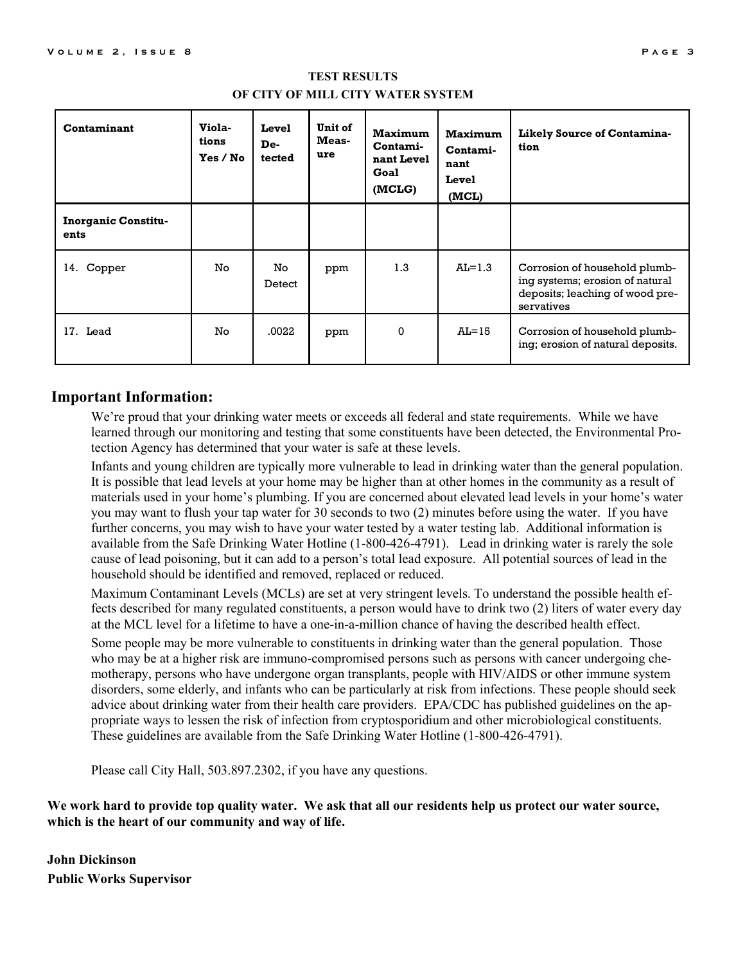| Contaminant                        | Viola-<br>tions<br>Yes / No | Level<br>De-<br>tected | Unit of<br>Meas-<br>ure | <b>Maximum</b><br>Contami-<br>nant Level<br>Goal<br>(MCLG) | Maximum<br>Contami-<br>nant<br>Level<br>(MCL) | Likely Source of Contamina-<br>tion                                                                               |
|------------------------------------|-----------------------------|------------------------|-------------------------|------------------------------------------------------------|-----------------------------------------------|-------------------------------------------------------------------------------------------------------------------|
| <b>Inorganic Constitu-</b><br>ents |                             |                        |                         |                                                            |                                               |                                                                                                                   |
| 14. Copper                         | No.                         | No.<br>Detect          | ppm                     | 1.3                                                        | $AL=1.3$                                      | Corrosion of household plumb-<br>ing systems; erosion of natural<br>deposits; leaching of wood pre-<br>servatives |
| 17. Lead                           | No.                         | .0022                  | ppm                     | $\Omega$                                                   | $AL=15$                                       | Corrosion of household plumb-<br>ing; erosion of natural deposits.                                                |

#### TEST RESULTS OF CITY OF MILL CITY WATER SYSTEM

### Important Information:

We're proud that your drinking water meets or exceeds all federal and state requirements. While we have learned through our monitoring and testing that some constituents have been detected, the Environmental Protection Agency has determined that your water is safe at these levels.

Infants and young children are typically more vulnerable to lead in drinking water than the general population. It is possible that lead levels at your home may be higher than at other homes in the community as a result of materials used in your home's plumbing. If you are concerned about elevated lead levels in your home's water you may want to flush your tap water for 30 seconds to two (2) minutes before using the water. If you have further concerns, you may wish to have your water tested by a water testing lab. Additional information is available from the Safe Drinking Water Hotline (1-800-426-4791). Lead in drinking water is rarely the sole cause of lead poisoning, but it can add to a person's total lead exposure. All potential sources of lead in the household should be identified and removed, replaced or reduced.

Maximum Contaminant Levels (MCLs) are set at very stringent levels. To understand the possible health effects described for many regulated constituents, a person would have to drink two (2) liters of water every day at the MCL level for a lifetime to have a one-in-a-million chance of having the described health effect.

Some people may be more vulnerable to constituents in drinking water than the general population. Those who may be at a higher risk are immuno-compromised persons such as persons with cancer undergoing chemotherapy, persons who have undergone organ transplants, people with HIV/AIDS or other immune system disorders, some elderly, and infants who can be particularly at risk from infections. These people should seek advice about drinking water from their health care providers. EPA/CDC has published guidelines on the appropriate ways to lessen the risk of infection from cryptosporidium and other microbiological constituents. These guidelines are available from the Safe Drinking Water Hotline (1-800-426-4791).

Please call City Hall, 503.897.2302, if you have any questions.

We work hard to provide top quality water. We ask that all our residents help us protect our water source, which is the heart of our community and way of life.

John Dickinson Public Works Supervisor